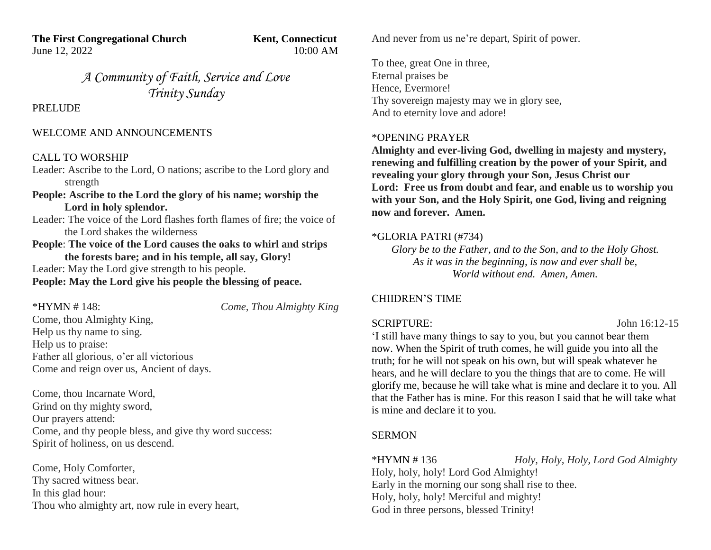**The First Congregational Church Kent, Connecticut** June 12, 2022 10:00 AM

*A Community of Faith, Service and Love Trinity Sunday*

PRELUDE

## WELCOME AND ANNOUNCEMENTS

## CALL TO WORSHIP

Leader: Ascribe to the Lord, O nations; ascribe to the Lord glory and strength

**People: Ascribe to the Lord the glory of his name; worship the Lord in holy splendor.**

Leader: The voice of the Lord flashes forth flames of fire; the voice of the Lord shakes the wilderness

**People**: **The voice of the Lord causes the oaks to whirl and strips the forests bare; and in his temple, all say, Glory!** Leader: May the Lord give strength to his people. **People: May the Lord give his people the blessing of peace.**

| *HYMN # 148:                             | Come, Thou Almighty King |
|------------------------------------------|--------------------------|
| Come, thou Almighty King,                |                          |
| Help us thy name to sing.                |                          |
| Help us to praise:                       |                          |
| Father all glorious, o'er all victorious |                          |
| Come and reign over us, Ancient of days. |                          |

Come, thou Incarnate Word, Grind on thy mighty sword, Our prayers attend: Come, and thy people bless, and give thy word success: Spirit of holiness, on us descend.

Come, Holy Comforter, Thy sacred witness bear. In this glad hour: Thou who almighty art, now rule in every heart, And never from us ne're depart, Spirit of power.

To thee, great One in three, Eternal praises be Hence, Evermore! Thy sovereign majesty may we in glory see, And to eternity love and adore!

## \*OPENING PRAYER

**Almighty and ever-living God, dwelling in majesty and mystery, renewing and fulfilling creation by the power of your Spirit, and revealing your glory through your Son, Jesus Christ our Lord: Free us from doubt and fear, and enable us to worship you with your Son, and the Holy Spirit, one God, living and reigning now and forever. Amen.**

# \*GLORIA PATRI (#734)

*Glory be to the Father, and to the Son, and to the Holy Ghost. As it was in the beginning, is now and ever shall be, World without end. Amen, Amen.*

# CHIIDREN'S TIME

SCRIPTURE: John 16:12-15

'I still have many things to say to you, but you cannot bear them now. When the Spirit of truth comes, he will guide you into all the truth; for he will not speak on his own, but will speak whatever he hears, and he will declare to you the things that are to come. He will glorify me, because he will take what is mine and declare it to you. All that the Father has is mine. For this reason I said that he will take what is mine and declare it to you.

# **SERMON**

\*HYMN # 136 *Holy, Holy, Holy, Lord God Almighty* Holy, holy, holy! Lord God Almighty! Early in the morning our song shall rise to thee. Holy, holy, holy! Merciful and mighty! God in three persons, blessed Trinity!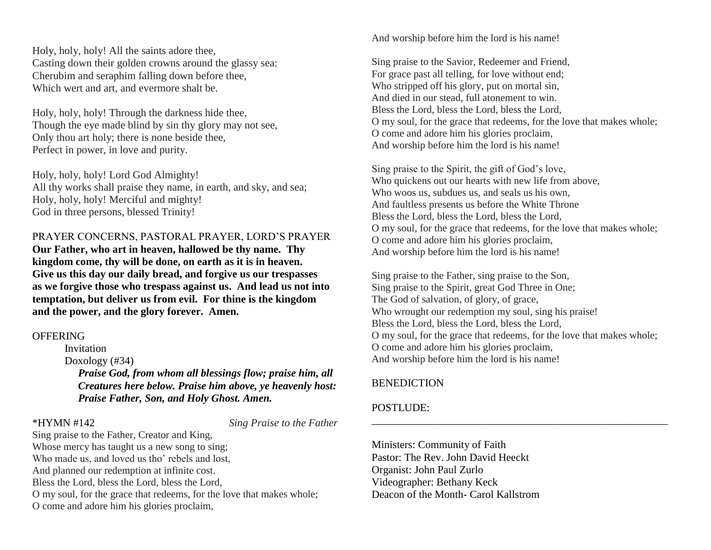Holy, holy, holy! All the saints adore thee, Casting down their golden crowns around the glassy sea: Cherubim and seraphim falling down before thee, Which wert and art, and evermore shalt be.

Holy, holy, holy! Through the darkness hide thee, Though the eye made blind by sin thy glory may not see, Only thou art holy; there is none beside thee, Perfect in power, in love and purity.

Holy, holy, holy! Lord God Almighty! All thy works shall praise they name, in earth, and sky, and sea; Holy, holy, holy! Merciful and mighty! God in three persons, blessed Trinity!

PRAYER CONCERNS, PASTORAL PRAYER, LORD'S PRAYER

**Our Father, who art in heaven, hallowed be thy name. Thy kingdom come, thy will be done, on earth as it is in heaven. Give us this day our daily bread, and forgive us our trespasses as we forgive those who trespass against us. And lead us not into temptation, but deliver us from evil. For thine is the kingdom and the power, and the glory forever. Amen.**

### **OFFERING**

Invitation Doxology (#34)  *Praise God, from whom all blessings flow; praise him, all Creatures here below. Praise him above, ye heavenly host: Praise Father, Son, and Holy Ghost. Amen.*

\*HYMN #142 *Sing Praise to the Father*

Sing praise to the Father, Creator and King, Whose mercy has taught us a new song to sing; Who made us, and loved us tho' rebels and lost, And planned our redemption at infinite cost. Bless the Lord, bless the Lord, bless the Lord, O my soul, for the grace that redeems, for the love that makes whole; O come and adore him his glories proclaim,

And worship before him the lord is his name!

Sing praise to the Savior, Redeemer and Friend, For grace past all telling, for love without end; Who stripped off his glory, put on mortal sin, And died in our stead, full atonement to win. Bless the Lord, bless the Lord, bless the Lord, O my soul, for the grace that redeems, for the love that makes whole; O come and adore him his glories proclaim, And worship before him the lord is his name!

Sing praise to the Spirit, the gift of God's love, Who quickens out our hearts with new life from above, Who woos us, subdues us, and seals us his own. And faultless presents us before the White Throne Bless the Lord, bless the Lord, bless the Lord, O my soul, for the grace that redeems, for the love that makes whole; O come and adore him his glories proclaim, And worship before him the lord is his name!

Sing praise to the Father, sing praise to the Son, Sing praise to the Spirit, great God Three in One; The God of salvation, of glory, of grace, Who wrought our redemption my soul, sing his praise! Bless the Lord, bless the Lord, bless the Lord, O my soul, for the grace that redeems, for the love that makes whole; O come and adore him his glories proclaim, And worship before him the lord is his name!

\_\_\_\_\_\_\_\_\_\_\_\_\_\_\_\_\_\_\_\_\_\_\_\_\_\_\_\_\_\_\_\_\_\_\_\_\_\_\_\_\_\_\_\_\_\_\_\_\_\_\_\_\_\_\_

# **BENEDICTION**

# POSTLUDE:

Ministers: Community of Faith Pastor: The Rev. John David Heeckt Organist: John Paul Zurlo Videographer: Bethany Keck Deacon of the Month- Carol Kallstrom